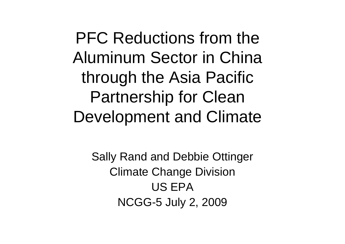PFC Reductions from the Aluminum Sector in China through the Asia Pacific Partnership for Clean Development and Climate

Sally Rand and Debbie Ottinger Climate Change Division US EPANCGG-5 July 2, 2009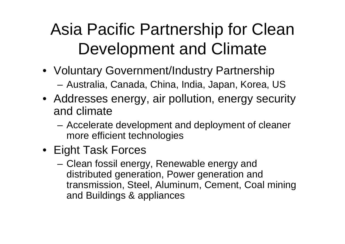### Asia Pacific Partnership for Clean Development and Climate

- Voluntary Government/Industry Partnership **Links of the Company** Australia, Canada, China, India, Japan, Korea, US
- Addresses energy, air pollution, energy security and climate
	- **Links of the Company**  Accelerate development and deployment of cleaner more efficient technologies
- Eight Task Forces
	- **Links of the Company**  Clean fossil energy, Renewable energy and distributed generation, Power generation and transmission, Steel, Aluminum, Cement, Coal mining and Buildings & appliances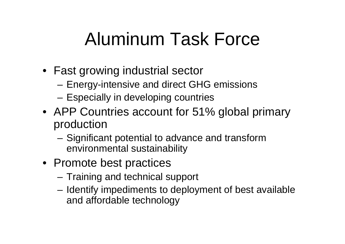## Aluminum Task Force

- Fast growing industrial sector
	- **Links of the Company** Energy-intensive and direct GHG emissions
	- and the state of the Especially in developing countries
- APP Countries account for 51% global primary production
	- and the state of the Significant potential to advance and transform environmental sustainability
- Promote best practices
	- and the state of the Training and technical support
	- – Identify impediments to deployment of best available and affordable technology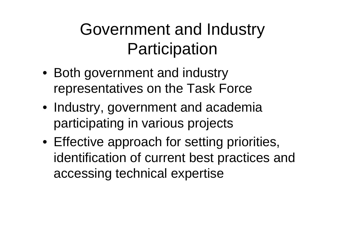#### Government and Industry **Participation**

- Both government and industry representatives on the Task Force
- Industry, government and academia participating in various projects
- Effective approach for setting priorities, identification of current best practices and accessing technical expertise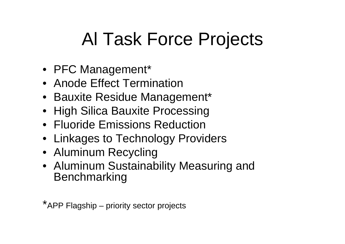# Al Task Force Projects

- PFC Management\*
- Anode Effect Termination
- Bauxite Residue Management\*
- High Silica Bauxite Processing
- Fluoride Emissions Reduction
- Linkages to Technology Providers
- Aluminum Recycling
- Aluminum Sustainability Measuring and Benchmarking

\*APP Flagship – priority sector projects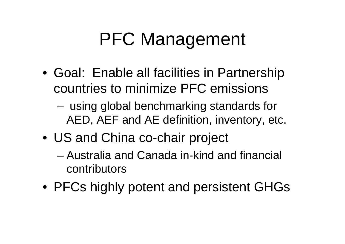# PFC Management

- Goal: Enable all facilities in Partnership countries to minimize PFC emissions
	- – using global benchmarking standards for AED, AEF and AE definition, inventory, etc.
- US and China co-chair project
	- Australia and Canada in-kind and financial contributors
- PFCs highly potent and persistent GHGs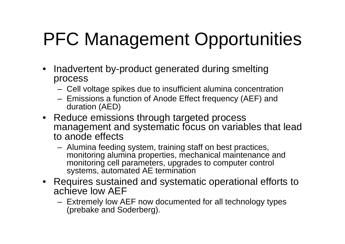# PFC Management Opportunities

- Inadvertent by-product generated during smelting process
	- Cell voltage spikes due to insufficient alumina concentration
	- Emissions a function of Anode Effect frequency (AEF) and duration (AED)
- Reduce emissions through targeted process management and systematic focus on variables that lead to anode effects
	- Alumina feeding system, training staff on best practices, monitoring alumina properties, mechanical maintenance and monitoring cell parameters, upgrades to computer control systems, automated AE termination
- Requires sustained and systematic operational efforts to achieve low AEF
	- Extremely low AEF now documented for all technology types (prebake and Soderberg).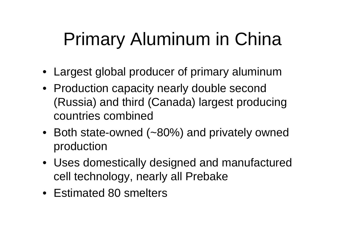# Primary Aluminum in China

- Largest global producer of primary aluminum
- Production capacity nearly double second (Russia) and third (Canada) largest producing countries combined
- Both state-owned (~80%) and privately owned production
- Uses domestically designed and manufactured cell technology, nearly all Prebake
- Estimated 80 smelters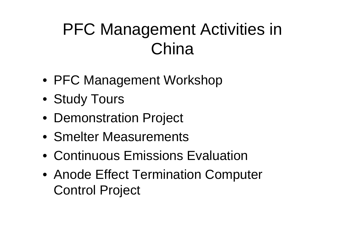### PFC Management Activities in China

- PFC Management Workshop
- Study Tours
- Demonstration Project
- Smelter Measurements
- Continuous Emissions Evaluation
- Anode Effect Termination Computer Control Project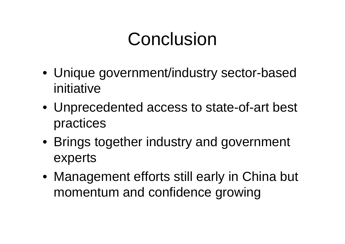### Conclusion

- Unique government/industry sector-based initiative
- Unprecedented access to state-of-art best practices
- Brings together industry and government experts
- Management efforts still early in China but momentum and confidence growing